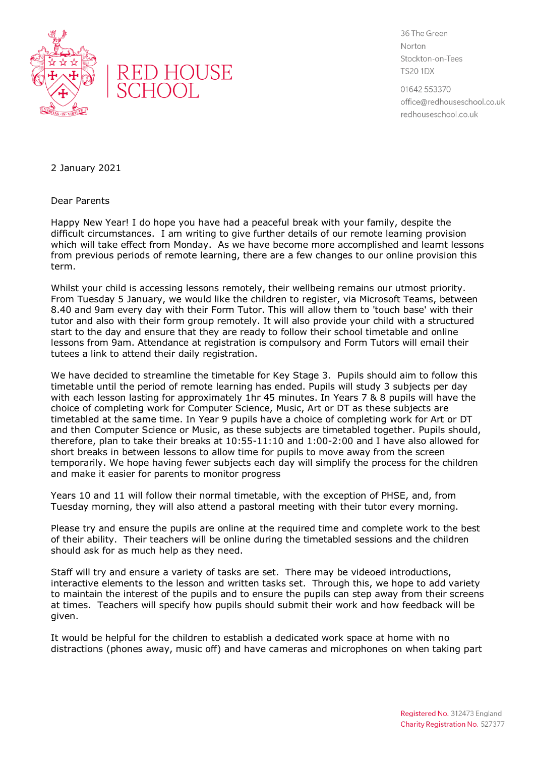



36 The Green Norton Stockton-on-Tees **TS20 1DX** 

01642 553370 office@redhouseschool.co.uk redhouseschool.co.uk

2 January 2021

Dear Parents

Happy New Year! I do hope you have had a peaceful break with your family, despite the difficult circumstances. I am writing to give further details of our remote learning provision which will take effect from Monday. As we have become more accomplished and learnt lessons from previous periods of remote learning, there are a few changes to our online provision this term.

Whilst your child is accessing lessons remotely, their wellbeing remains our utmost priority. From Tuesday 5 January, we would like the children to register, via Microsoft Teams, between 8.40 and 9am every day with their Form Tutor. This will allow them to 'touch base' with their tutor and also with their form group remotely. It will also provide your child with a structured start to the day and ensure that they are ready to follow their school timetable and online lessons from 9am. Attendance at registration is compulsory and Form Tutors will email their tutees a link to attend their daily registration.

We have decided to streamline the timetable for Key Stage 3. Pupils should aim to follow this timetable until the period of remote learning has ended. Pupils will study 3 subjects per day with each lesson lasting for approximately 1hr 45 minutes. In Years 7 & 8 pupils will have the choice of completing work for Computer Science, Music, Art or DT as these subjects are timetabled at the same time. In Year 9 pupils have a choice of completing work for Art or DT and then Computer Science or Music, as these subjects are timetabled together. Pupils should, therefore, plan to take their breaks at 10:55-11:10 and 1:00-2:00 and I have also allowed for short breaks in between lessons to allow time for pupils to move away from the screen temporarily. We hope having fewer subjects each day will simplify the process for the children and make it easier for parents to monitor progress

Years 10 and 11 will follow their normal timetable, with the exception of PHSE, and, from Tuesday morning, they will also attend a pastoral meeting with their tutor every morning.

Please try and ensure the pupils are online at the required time and complete work to the best of their ability. Their teachers will be online during the timetabled sessions and the children should ask for as much help as they need.

Staff will try and ensure a variety of tasks are set. There may be videoed introductions, interactive elements to the lesson and written tasks set. Through this, we hope to add variety to maintain the interest of the pupils and to ensure the pupils can step away from their screens at times. Teachers will specify how pupils should submit their work and how feedback will be given.

It would be helpful for the children to establish a dedicated work space at home with no distractions (phones away, music off) and have cameras and microphones on when taking part